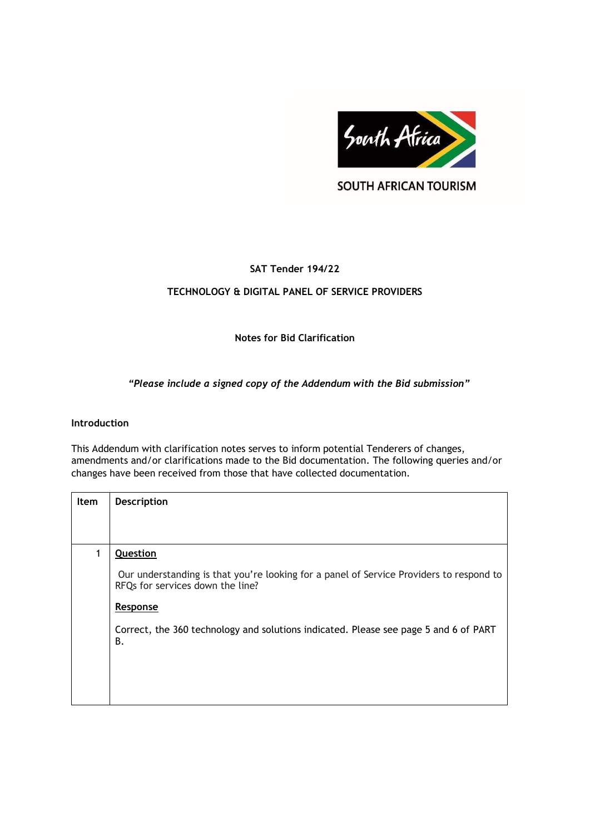

**SOUTH AFRICAN TOURISM** 

# **SAT Tender 194/22**

## **TECHNOLOGY & DIGITAL PANEL OF SERVICE PROVIDERS**

## **Notes for Bid Clarification**

## *"Please include a signed copy of the Addendum with the Bid submission"*

### **Introduction**

This Addendum with clarification notes serves to inform potential Tenderers of changes, amendments and/or clarifications made to the Bid documentation. The following queries and/or changes have been received from those that have collected documentation.

| <b>Item</b> | <b>Description</b>                                                                                                          |
|-------------|-----------------------------------------------------------------------------------------------------------------------------|
|             |                                                                                                                             |
|             |                                                                                                                             |
| 1           | Question                                                                                                                    |
|             | Our understanding is that you're looking for a panel of Service Providers to respond to<br>RFQs for services down the line? |
|             | Response                                                                                                                    |
|             | Correct, the 360 technology and solutions indicated. Please see page 5 and 6 of PART<br>В.                                  |
|             |                                                                                                                             |
|             |                                                                                                                             |
|             |                                                                                                                             |